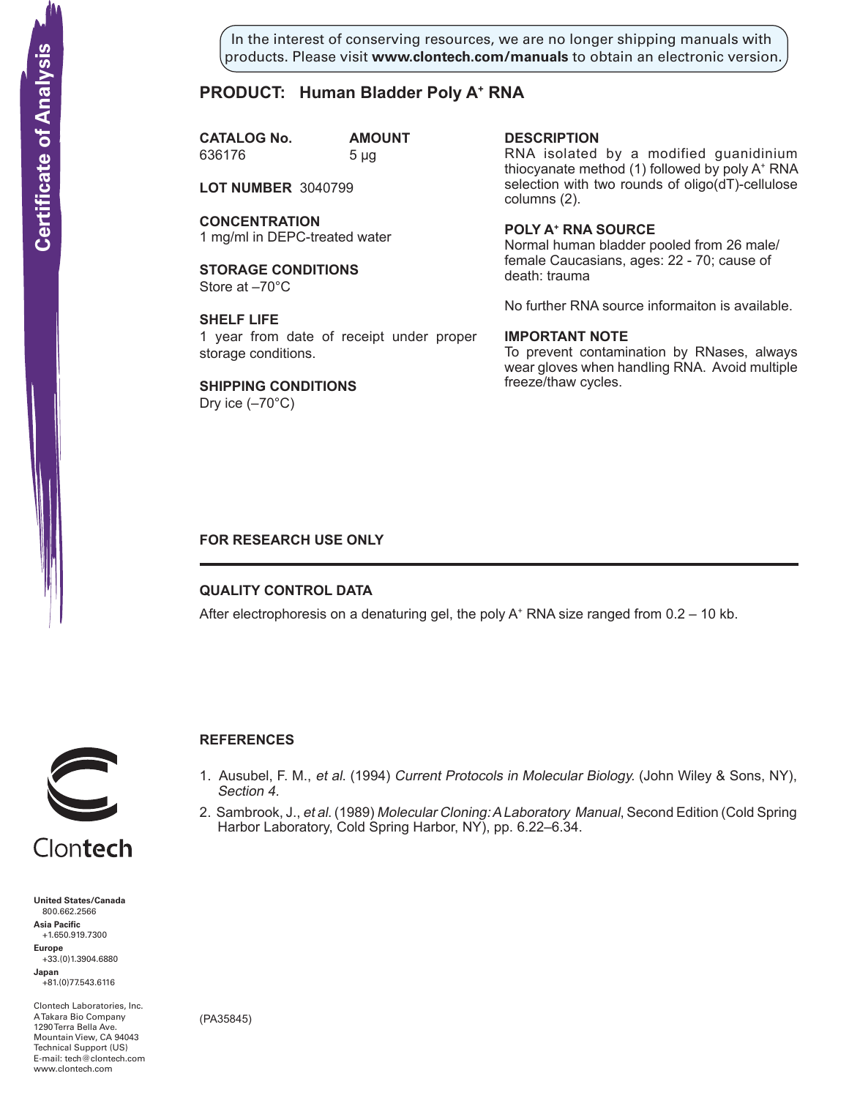In the interest of conserving resources, we are no longer shipping manuals with products. Please visit **www.clontech.com/manuals** to obtain an electronic version.

# **PRODUCT: Human Bladder Poly A+ RNA**

**CATALOG No. AMOUNT** 636176 5 µg

**LOT NUMBER** 3040799

**CONCENTRATION** 1 mg/ml in DEPC-treated water

**STORAGE CONDITIONS** Store at –70°C

**SHELF LIFE** 1 year from date of receipt under proper storage conditions.

**SHIPPING CONDITIONS** Dry ice  $(-70^{\circ}C)$ 

**description**

RNA isolated by a modified guanidinium thiocyanate method (1) followed by poly A+ RNA selection with two rounds of oligo(dT)-cellulose columns (2).

**Poly a+ RNA source** Normal human bladder pooled from 26 male/ female Caucasians, ages: 22 - 70; cause of death: trauma

No further RNA source informaiton is available.

### **IMPORTANT NOTE**

To prevent contamination by RNases, always wear gloves when handling RNA. Avoid multiple freeze/thaw cycles.

# **FOR RESEARCH USE ONLY**

# **QUALITY CONTROL DATA**

After electrophoresis on a denaturing gel, the poly  $A^+$  RNA size ranged from 0.2 – 10 kb.



# **References**

- 1. Ausubel, F. M., et al. (1994) Current Protocols in Molecular Biology. (John Wiley & Sons, NY), Section 4.
- 2. Sambrook, J., et al. (1989) Molecular Cloning: A Laboratory Manual, Second Edition (Cold Spring Harbor Laboratory, Cold Spring Harbor, NY), pp. 6.22–6.34.



+33.(0)1.3904.6880 **Japan** +81.(0)77.543.6116

Clontech Laboratories, Inc. A Takara Bio Company 1290 Terra Bella Ave. Mountain View, CA 94043 Technical Support (US) E-mail: tech@clontech.com

(PA35845)